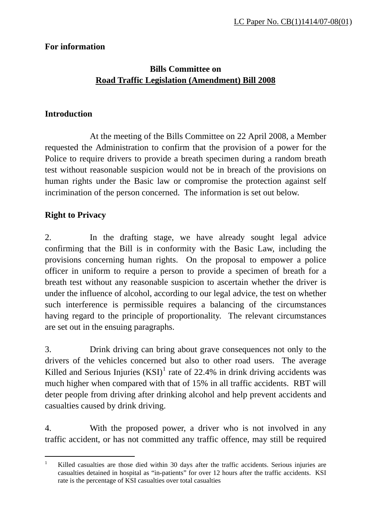### **For information**

## **Bills Committee on Road Traffic Legislation (Amendment) Bill 2008**

#### **Introduction**

 At the meeting of the Bills Committee on 22 April 2008, a Member requested the Administration to confirm that the provision of a power for the Police to require drivers to provide a breath specimen during a random breath test without reasonable suspicion would not be in breach of the provisions on human rights under the Basic law or compromise the protection against self incrimination of the person concerned. The information is set out below.

## **Right to Privacy**

 $\overline{a}$ 

2. In the drafting stage, we have already sought legal advice confirming that the Bill is in conformity with the Basic Law, including the provisions concerning human rights. On the proposal to empower a police officer in uniform to require a person to provide a specimen of breath for a breath test without any reasonable suspicion to ascertain whether the driver is under the influence of alcohol, according to our legal advice, the test on whether such interference is permissible requires a balancing of the circumstances having regard to the principle of proportionality. The relevant circumstances are set out in the ensuing paragraphs.

3. Drink driving can bring about grave consequences not only to the drivers of the vehicles concerned but also to other road users. The average Killed and Serious Injuries  $(KSI)^1$  $(KSI)^1$  rate of 22.4% in drink driving accidents was much higher when compared with that of 15% in all traffic accidents. RBT will deter people from driving after drinking alcohol and help prevent accidents and casualties caused by drink driving.

4. With the proposed power, a driver who is not involved in any traffic accident, or has not committed any traffic offence, may still be required

<span id="page-0-0"></span><sup>1</sup> Killed casualties are those died within 30 days after the traffic accidents. Serious injuries are casualties detained in hospital as "in-patients" for over 12 hours after the traffic accidents. KSI rate is the percentage of KSI casualties over total casualties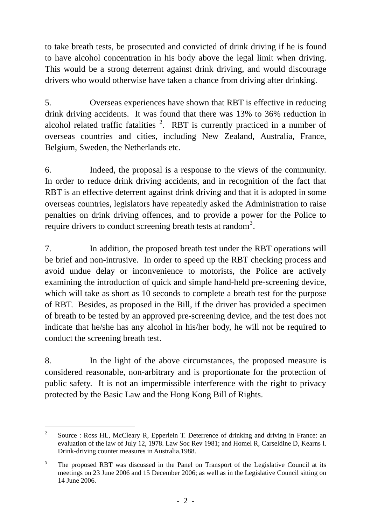to take breath tests, be prosecuted and convicted of drink driving if he is found to have alcohol concentration in his body above the legal limit when driving. This would be a strong deterrent against drink driving, and would discourage drivers who would otherwise have taken a chance from driving after drinking.

5. Overseas experiences have shown that RBT is effective in reducing drink driving accidents. It was found that there was 13% to 36% reduction in alcohol related traffic fatalities  $2$ . RBT is currently practiced in a number of overseas countries and cities, including New Zealand, Australia, France, Belgium, Sweden, the Netherlands etc.

6. Indeed, the proposal is a response to the views of the community. In order to reduce drink driving accidents, and in recognition of the fact that RBT is an effective deterrent against drink driving and that it is adopted in some overseas countries, legislators have repeatedly asked the Administration to raise penalties on drink driving offences, and to provide a power for the Police to require drivers to conduct screening breath tests at random<sup>[3](#page-1-1)</sup>.

7. In addition, the proposed breath test under the RBT operations will be brief and non-intrusive. In order to speed up the RBT checking process and avoid undue delay or inconvenience to motorists, the Police are actively examining the introduction of quick and simple hand-held pre-screening device, which will take as short as 10 seconds to complete a breath test for the purpose of RBT. Besides, as proposed in the Bill, if the driver has provided a specimen of breath to be tested by an approved pre-screening device, and the test does not indicate that he/she has any alcohol in his/her body, he will not be required to conduct the screening breath test.

8. In the light of the above circumstances, the proposed measure is considered reasonable, non-arbitrary and is proportionate for the protection of public safety. It is not an impermissible interference with the right to privacy protected by the Basic Law and the Hong Kong Bill of Rights.

l

<span id="page-1-0"></span><sup>&</sup>lt;sup>2</sup> Source : Ross HL, McCleary R, Epperlein T, Deterrence of drinking and driving in France: an evaluation of the law of July 12, 1978. Law Soc Rev 1981; and Homel R, Carseldine D, Kearns I. Drink-driving counter measures in Australia,1988.

<span id="page-1-1"></span><sup>&</sup>lt;sup>3</sup> The proposed RBT was discussed in the Panel on Transport of the Legislative Council at its meetings on 23 June 2006 and 15 December 2006; as well as in the Legislative Council sitting on 14 June 2006.